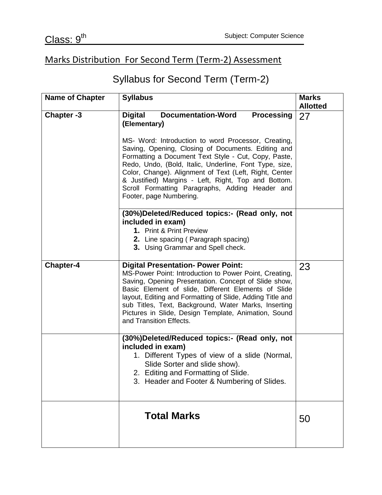## Marks Distribution For Second Term (Term-2) Assessment

## Syllabus for Second Term (Term-2)

| <b>Name of Chapter</b> | <b>Syllabus</b>                                                                                                                                                                                                                                                                                                                                                                                                                                                                                                | <b>Marks</b><br><b>Allotted</b> |
|------------------------|----------------------------------------------------------------------------------------------------------------------------------------------------------------------------------------------------------------------------------------------------------------------------------------------------------------------------------------------------------------------------------------------------------------------------------------------------------------------------------------------------------------|---------------------------------|
| Chapter -3             | <b>Documentation-Word</b><br><b>Processing</b><br><b>Digital</b><br>(Elementary)<br>MS- Word: Introduction to word Processor, Creating,<br>Saving, Opening, Closing of Documents. Editing and<br>Formatting a Document Text Style - Cut, Copy, Paste,<br>Redo, Undo, (Bold, Italic, Underline, Font Type, size,<br>Color, Change). Alignment of Text (Left, Right, Center<br>& Justified) Margins - Left, Right, Top and Bottom.<br>Scroll Formatting Paragraphs, Adding Header and<br>Footer, page Numbering. | 27                              |
|                        | (30%)Deleted/Reduced topics:- (Read only, not<br>included in exam)<br>1. Print & Print Preview<br>2. Line spacing (Paragraph spacing)<br>3. Using Grammar and Spell check.                                                                                                                                                                                                                                                                                                                                     |                                 |
| <b>Chapter-4</b>       | <b>Digital Presentation- Power Point:</b><br>MS-Power Point: Introduction to Power Point, Creating,<br>Saving, Opening Presentation. Concept of Slide show,<br>Basic Element of slide, Different Elements of Slide<br>layout, Editing and Formatting of Slide, Adding Title and<br>sub Titles, Text, Background, Water Marks, Inserting<br>Pictures in Slide, Design Template, Animation, Sound<br>and Transition Effects.                                                                                     | 23                              |
|                        | (30%)Deleted/Reduced topics:- (Read only, not<br>included in exam)<br>1. Different Types of view of a slide (Normal,<br>Slide Sorter and slide show).<br>2. Editing and Formatting of Slide.<br>3. Header and Footer & Numbering of Slides.                                                                                                                                                                                                                                                                    |                                 |
|                        | <b>Total Marks</b>                                                                                                                                                                                                                                                                                                                                                                                                                                                                                             | 50                              |